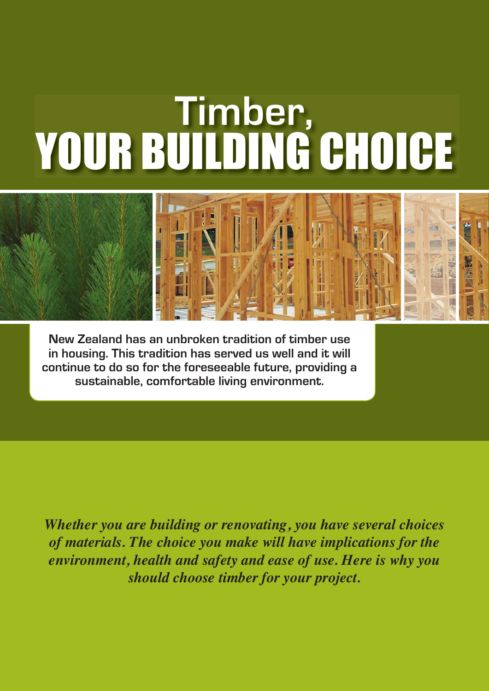

**New Zealand has an unbroken tradition of timber use in housing. This tradition has served us well and it will continue to do so for the foreseeable future, providing a sustainable, comfortable living environment.**

*Whether you are building or renovating, you have several choices of materials. The choice you make will have implications for the environment, health and safety and ease of use. Here is why you should choose timber for your project.*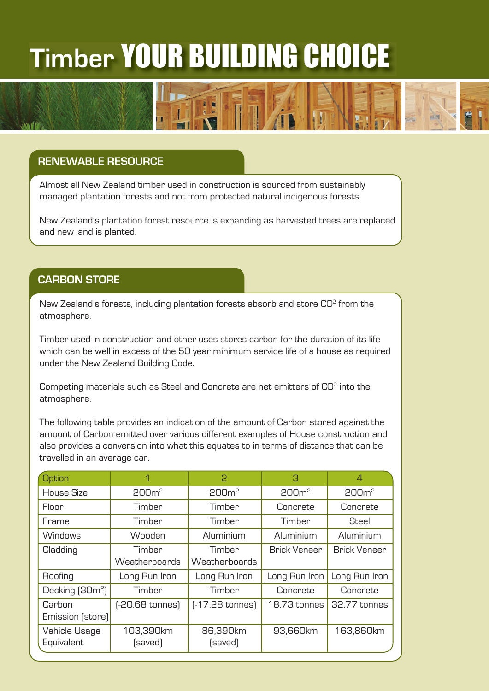### **RENEWABLE RESOURCE**

Almost all New Zealand timber used in construction is sourced from sustainably managed plantation forests and not from protected natural indigenous forests.

New Zealand's plantation forest resource is expanding as harvested trees are replaced and new land is planted.

#### **CARBON STORE**

New Zealand's forests, including plantation forests absorb and store  $CO<sup>2</sup>$  from the atmosphere.

Timber used in construction and other uses stores carbon for the duration of its life which can be well in excess of the 50 year minimum service life of a house as required under the New Zealand Building Code.

Competing materials such as Steel and Concrete are net emitters of CO<sup>2</sup> into the atmosphere.

The following table provides an indication of the amount of Carbon stored against the amount of Carbon emitted over various different examples of House construction and also provides a conversion into what this equates to in terms of distance that can be travelled in an average car.

| Option                      | 1                 | 2                 | 3                   | 4                   |
|-----------------------------|-------------------|-------------------|---------------------|---------------------|
| House Size                  | 200 <sup>m²</sup> | 200 <sup>m²</sup> | 200 <sup>m²</sup>   | 200 <sup>m²</sup>   |
| Floor                       | Timber            | Timber            | Concrete            | Concrete            |
| Frame                       | Timber            | Timber            | Timber              | Steel               |
| <b>Windows</b>              | Wooden            | Aluminium         | Aluminium           | Aluminium           |
| Cladding                    | Timber            | Timber            | <b>Brick Veneer</b> | <b>Brick Veneer</b> |
|                             | Weatherboards     | Weatherboards     |                     |                     |
| Roofing                     | Long Run Iron     | Long Run Iron     | Long Run Iron       | Long Run Iron       |
| Decking (30m <sup>2</sup> ) | Timber            | Timber            | Concrete            | Concrete            |
| Carbon                      | [-20.68 tonnes]   | $[-17.28$ tonnes) | 18.73 tonnes        | 32.77 tonnes        |
| Emission (store)            |                   |                   |                     |                     |
| Vehicle Usage               | 103,390km         | 86,390km          | 93,660km            | 163,860km           |
| Equivalent                  | (saved)           | (saved)           |                     |                     |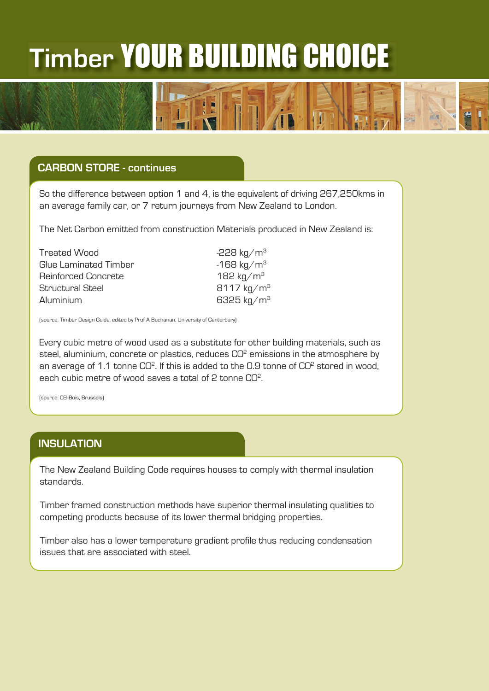### **CARBON STORE - continues**

So the difference between option 1 and 4, is the equivalent of driving 267,250kms in an average family car, or 7 return journeys from New Zealand to London.

The Net Carbon emitted from construction Materials produced in New Zealand is:

| $-228 \text{ kg/m}^3$  |
|------------------------|
| $-168 \text{ kg/m}^3$  |
| 182 kg/m <sup>3</sup>  |
| $8117 \text{ kg/m}^3$  |
| 6325 kg/m <sup>3</sup> |
|                        |

(source: Timber Design Guide, edited by Prof A Buchanan, University of Canterbury)

Every cubic metre of wood used as a substitute for other building materials, such as steel, aluminium, concrete or plastics, reduces  $CO<sup>2</sup>$  emissions in the atmosphere by an average of 1.1 tonne  $CO<sup>2</sup>$ . If this is added to the 0.9 tonne of  $CO<sup>2</sup>$  stored in wood, each cubic metre of wood saves a total of 2 tonne CO<sup>2</sup>.

(source: CEI-Bois, Brussels)

#### **INSULATION**

The New Zealand Building Code requires houses to comply with thermal insulation standards.

Timber framed construction methods have superior thermal insulating qualities to competing products because of its lower thermal bridging properties.

Timber also has a lower temperature gradient profile thus reducing condensation issues that are associated with steel.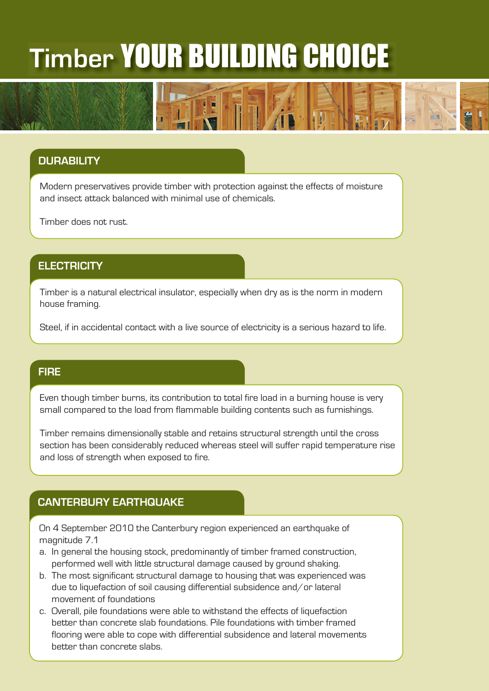## **DURABILITY**

Modern preservatives provide timber with protection against the effects of moisture and insect attack balanced with minimal use of chemicals.

Timber does not rust.

#### **ELECTRICITY**

Timber is a natural electrical insulator, especially when dry as is the norm in modern house framing.

Steel, if in accidental contact with a live source of electricity is a serious hazard to life.

#### **FIRE**

Even though timber burns, its contribution to total fire load in a burning house is very small compared to the load from flammable building contents such as furnishings.

Timber remains dimensionally stable and retains structural strength until the cross section has been considerably reduced whereas steel will suffer rapid temperature rise and loss of strength when exposed to fire.

### **CANTERBURY EARTHQUAKE**

On 4 September 2010 the Canterbury region experienced an earthquake of magnitude 7.1

- a. In general the housing stock, predominantly of timber framed construction, performed well with little structural damage caused by ground shaking.
- b. The most significant structural damage to housing that was experienced was due to liquefaction of soil causing differential subsidence and/or lateral movement of foundations
- c. Overall, pile foundations were able to withstand the effects of liquefaction better than concrete slab foundations. Pile foundations with timber framed flooring were able to cope with differential subsidence and lateral movements better than concrete slabs.